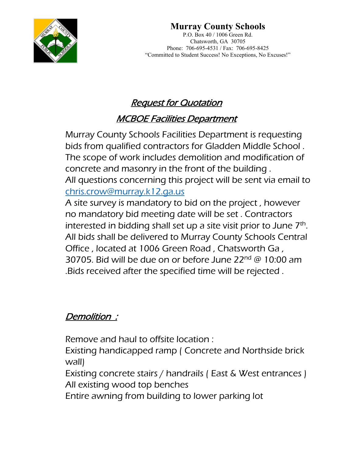

### **Murray County Schools**

P.O. Box 40 / 1006 Green Rd. Chatsworth, GA 30705 Phone: 706-695-4531 / Fax: 706-695-8425 "Committed to Student Success! No Exceptions, No Excuses!"

# Request for Quotation

### MCBOE Facilities Department

Murray County Schools Facilities Department is requesting bids from qualified contractors for Gladden Middle School . The scope of work includes demolition and modification of concrete and masonry in the front of the building . All questions concerning this project will be sent via email to [chris.crow@murray.k12.ga.us](mailto:chris.crow@murray.k12.ga.us)

A site survey is mandatory to bid on the project , however no mandatory bid meeting date will be set . Contractors interested in bidding shall set up a site visit prior to June  $7<sup>th</sup>$ . All bids shall be delivered to Murray County Schools Central Office , located at 1006 Green Road , Chatsworth Ga , 30705. Bid will be due on or before June  $22<sup>nd</sup> @ 10:00$  am .Bids received after the specified time will be rejected .

#### Demolition :

Remove and haul to offsite location :

Existing handicapped ramp ( Concrete and Northside brick wall)

Existing concrete stairs / handrails ( East & West entrances ) All existing wood top benches

Entire awning from building to lower parking lot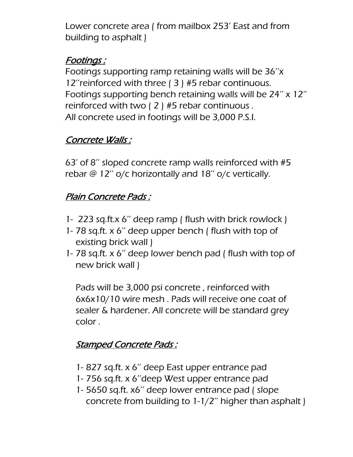Lower concrete area ( from mailbox 253' East and from building to asphalt )

## Footings :

Footings supporting ramp retaining walls will be 36''x 12''reinforced with three ( 3 ) #5 rebar continuous. Footings supporting bench retaining walls will be 24'' x 12'' reinforced with two ( 2 ) #5 rebar continuous . All concrete used in footings will be 3,000 P.S.I.

### Concrete Walls:

63' of 8'' sloped concrete ramp walls reinforced with #5 rebar  $\omega$  12" o/c horizontally and 18" o/c vertically.

### Plain Concrete Pads :

- 1- 223 sq.ft.x 6'' deep ramp ( flush with brick rowlock )
- 1- 78 sq.ft. x 6'' deep upper bench ( flush with top of existing brick wall )
- 1- 78 sq.ft. x 6'' deep lower bench pad ( flush with top of new brick wall )

Pads will be 3,000 psi concrete , reinforced with 6x6x10/10 wire mesh . Pads will receive one coat of sealer & hardener. All concrete will be standard grey color .

## Stamped Concrete Pads :

- 1- 827 sq.ft. x 6'' deep East upper entrance pad
- 1- 756 sq.ft. x 6''deep West upper entrance pad
- 1- 5650 sq.ft. x6'' deep lower entrance pad ( slope concrete from building to 1-1/2'' higher than asphalt )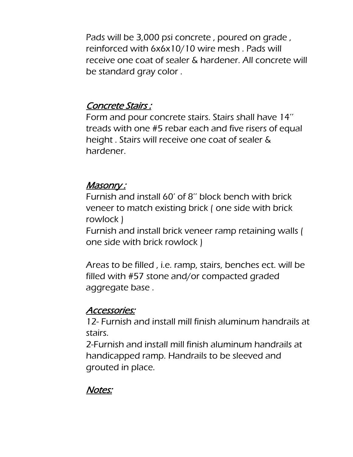Pads will be 3,000 psi concrete , poured on grade , reinforced with 6x6x10/10 wire mesh . Pads will receive one coat of sealer & hardener. All concrete will be standard gray color .

#### Concrete Stairs :

Form and pour concrete stairs. Stairs shall have 14'' treads with one #5 rebar each and five risers of equal height . Stairs will receive one coat of sealer & hardener.

#### Masonry :

Furnish and install 60' of 8'' block bench with brick veneer to match existing brick ( one side with brick rowlock )

Furnish and install brick veneer ramp retaining walls ( one side with brick rowlock )

Areas to be filled , i.e. ramp, stairs, benches ect. will be filled with #57 stone and/or compacted graded aggregate base .

#### Accessories:

12- Furnish and install mill finish aluminum handrails at stairs.

2-Furnish and install mill finish aluminum handrails at handicapped ramp. Handrails to be sleeved and grouted in place.

#### Notes: